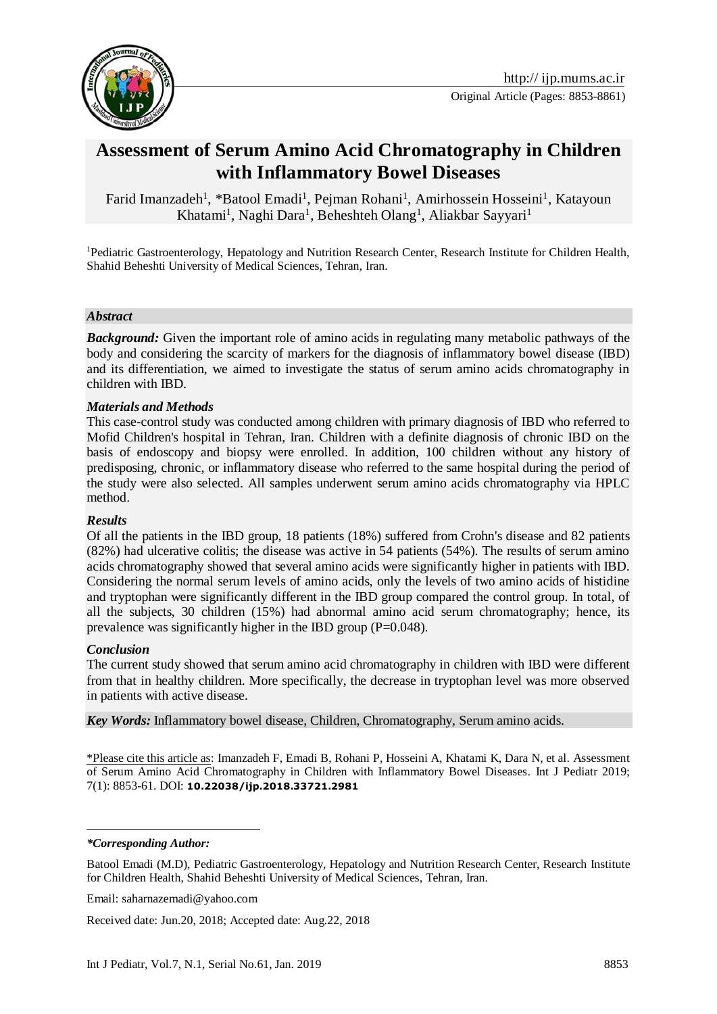

# **Assessment of Serum Amino Acid Chromatography in Children with Inflammatory Bowel Diseases**

Farid Imanzadeh<sup>1</sup>, \*Batool Emadi<sup>1</sup>, Pejman Rohani<sup>1</sup>, Amirhossein Hosseini<sup>1</sup>, Katayoun Khatami<sup>1</sup>, Naghi Dara<sup>1</sup>, Beheshteh Olang<sup>1</sup>, Aliakbar Sayyari<sup>1</sup>

<sup>1</sup>Pediatric Gastroenterology, Hepatology and Nutrition Research Center, Research Institute for Children Health, Shahid Beheshti University of Medical Sciences, Tehran, Iran.

#### *Abstract*

*Background:* Given the important role of amino acids in regulating many metabolic pathways of the body and considering the scarcity of markers for the diagnosis of inflammatory bowel disease (IBD) and its differentiation, we aimed to investigate the status of serum amino acids chromatography in children with IBD.

#### *Materials and Methods*

This case-control study was conducted among children with primary diagnosis of IBD who referred to Mofid Children's hospital in Tehran, Iran. Children with a definite diagnosis of chronic IBD on the basis of endoscopy and biopsy were enrolled. In addition, 100 children without any history of predisposing, chronic, or inflammatory disease who referred to the same hospital during the period of the study were also selected. All samples underwent serum amino acids chromatography via HPLC method.

#### *Results*

Of all the patients in the IBD group, 18 patients (18%) suffered from Crohn's disease and 82 patients (82%) had ulcerative colitis; the disease was active in 54 patients (54%). The results of serum amino acids chromatography showed that several amino acids were significantly higher in patients with IBD. Considering the normal serum levels of amino acids, only the levels of two amino acids of histidine and tryptophan were significantly different in the IBD group compared the control group. In total, of all the subjects, 30 children (15%) had abnormal amino acid serum chromatography; hence, its prevalence was significantly higher in the IBD group (P=0.048).

#### *Conclusion*

The current study showed that serum amino acid chromatography in children with IBD were different from that in healthy children. More specifically, the decrease in tryptophan level was more observed in patients with active disease.

*Key Words:* Inflammatory bowel disease, Children, Chromatography, Serum amino acids.

\*Please cite this article as: Imanzadeh F, Emadi B, Rohani P, Hosseini A, Khatami K, Dara N, et al. Assessment of Serum Amino Acid Chromatography in Children with Inflammatory Bowel Diseases. Int J Pediatr 2019; 7(1): 8853-61. DOI: **10.22038/ijp.2018.33721.2981**

*\*Corresponding Author:*

<u>.</u>

Email: saharnazemadi@yahoo.com

Received date: Jun.20, 2018; Accepted date: Aug.22, 2018

Batool Emadi (M.D), Pediatric Gastroenterology, Hepatology and Nutrition Research Center, Research Institute for Children Health, Shahid Beheshti University of Medical Sciences, Tehran, Iran.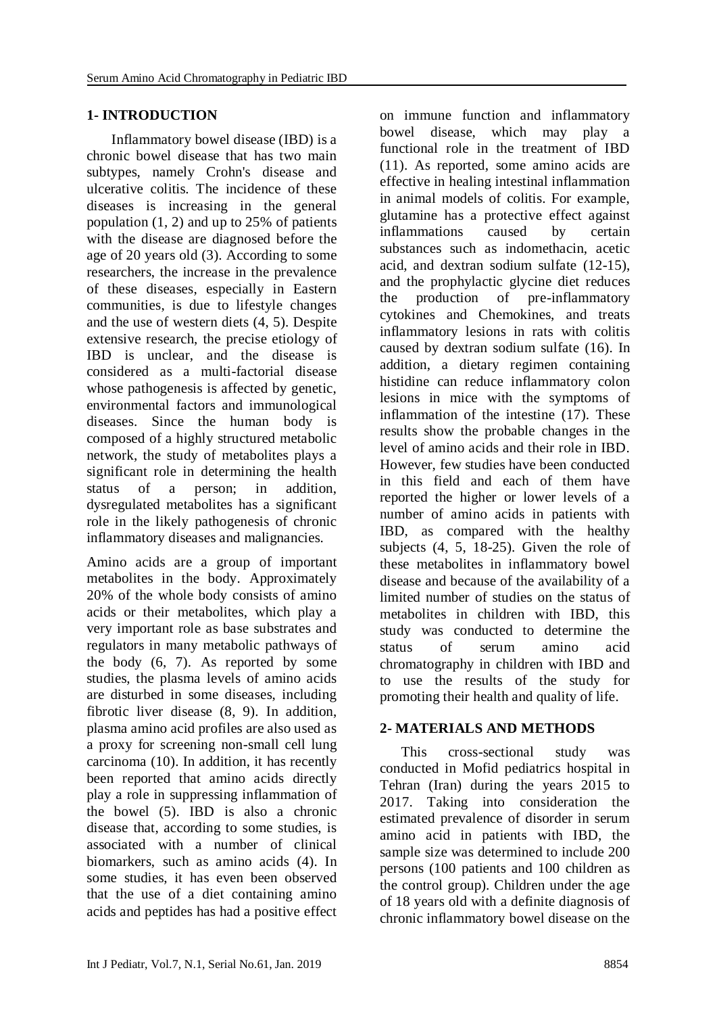# **1- INTRODUCTION**

 Inflammatory bowel disease (IBD) is a chronic bowel disease that has two main subtypes, namely Crohn's disease and ulcerative colitis. The incidence of these diseases is increasing in the general population (1, 2) and up to 25% of patients with the disease are diagnosed before the age of 20 years old (3). According to some researchers, the increase in the prevalence of these diseases, especially in Eastern communities, is due to lifestyle changes and the use of western diets (4, 5). Despite extensive research, the precise etiology of IBD is unclear, and the disease is considered as a multi-factorial disease whose pathogenesis is affected by genetic, environmental factors and immunological diseases. Since the human body is composed of a highly structured metabolic network, the study of metabolites plays a significant role in determining the health status of a person; in addition, dysregulated metabolites has a significant role in the likely pathogenesis of chronic inflammatory diseases and malignancies.

Amino acids are a group of important metabolites in the body. Approximately 20% of the whole body consists of amino acids or their metabolites, which play a very important role as base substrates and regulators in many metabolic pathways of the body (6, 7). As reported by some studies, the plasma levels of amino acids are disturbed in some diseases, including fibrotic liver disease (8, 9). In addition, plasma amino acid profiles are also used as a proxy for screening non-small cell lung carcinoma (10). In addition, it has recently been reported that amino acids directly play a role in suppressing inflammation of the bowel (5). IBD is also a chronic disease that, according to some studies, is associated with a number of clinical biomarkers, such as amino acids (4). In some studies, it has even been observed that the use of a diet containing amino acids and peptides has had a positive effect

on immune function and inflammatory bowel disease, which may play a functional role in the treatment of IBD (11). As reported, some amino acids are effective in healing intestinal inflammation in animal models of colitis. For example, glutamine has a protective effect against inflammations caused by certain substances such as indomethacin, acetic acid, and dextran sodium sulfate (12-15), and the prophylactic glycine diet reduces<br>the production of pre-inflammatory the production of pre-inflammatory cytokines and Chemokines, and treats inflammatory lesions in rats with colitis caused by dextran sodium sulfate (16). In addition, a dietary regimen containing histidine can reduce inflammatory colon lesions in mice with the symptoms of inflammation of the intestine (17). These results show the probable changes in the level of amino acids and their role in IBD. However, few studies have been conducted in this field and each of them have reported the higher or lower levels of a number of amino acids in patients with IBD, as compared with the healthy subjects (4, 5, 18-25). Given the role of these metabolites in inflammatory bowel disease and because of the availability of a limited number of studies on the status of metabolites in children with IBD, this study was conducted to determine the status of serum amino acid chromatography in children with IBD and to use the results of the study for promoting their health and quality of life.

## **2- MATERIALS AND METHODS**

 This cross-sectional study was conducted in Mofid pediatrics hospital in Tehran (Iran) during the years 2015 to 2017. Taking into consideration the estimated prevalence of disorder in serum amino acid in patients with IBD, the sample size was determined to include 200 persons (100 patients and 100 children as the control group). Children under the age of 18 years old with a definite diagnosis of chronic inflammatory bowel disease on the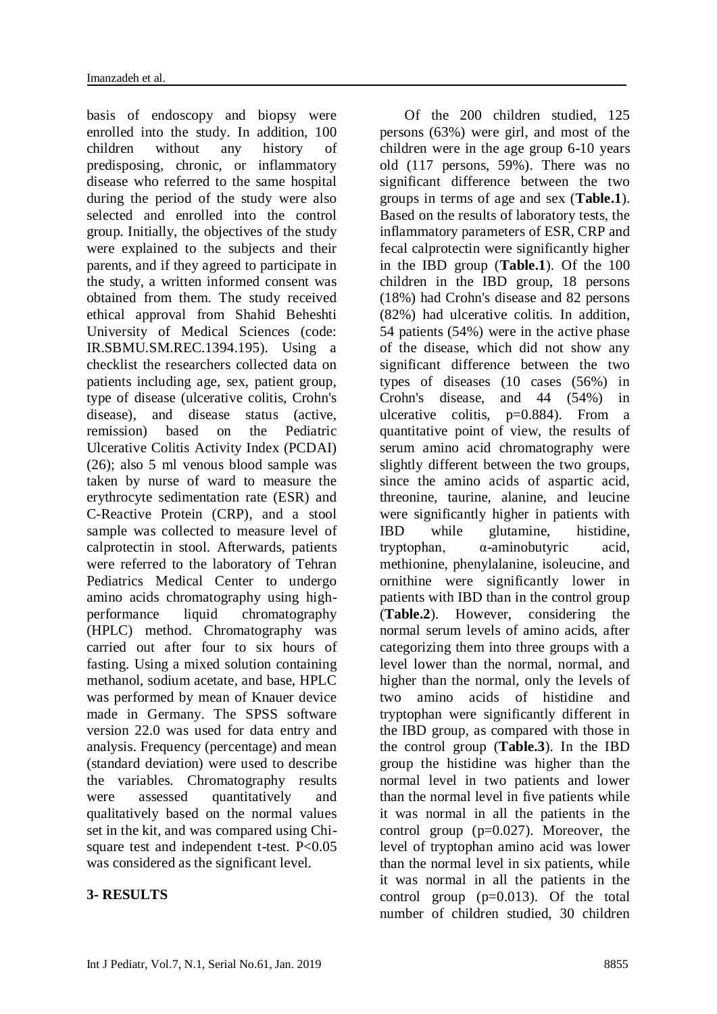basis of endoscopy and biopsy were enrolled into the study. In addition, 100 children without any history of predisposing, chronic, or inflammatory disease who referred to the same hospital during the period of the study were also selected and enrolled into the control group. Initially, the objectives of the study were explained to the subjects and their parents, and if they agreed to participate in the study, a written informed consent was obtained from them. The study received ethical approval from Shahid Beheshti University of Medical Sciences (code: IR.SBMU.SM.REC.1394.195). Using a checklist the researchers collected data on patients including age, sex, patient group, type of disease (ulcerative colitis, Crohn's disease), and disease status (active, remission) based on the Pediatric Ulcerative Colitis Activity Index (PCDAI) (26); also 5 ml venous blood sample was taken by nurse of ward to measure the erythrocyte sedimentation rate (ESR) and C-Reactive Protein (CRP), and a stool sample was collected to measure level of calprotectin in stool. Afterwards, patients were referred to the laboratory of Tehran Pediatrics Medical Center to undergo amino acids chromatography using highperformance liquid chromatography (HPLC) method. Chromatography was carried out after four to six hours of fasting. Using a mixed solution containing methanol, sodium acetate, and base, HPLC was performed by mean of Knauer device made in Germany. The SPSS software version 22.0 was used for data entry and analysis. Frequency (percentage) and mean (standard deviation) were used to describe the variables. Chromatography results were assessed quantitatively and qualitatively based on the normal values set in the kit, and was compared using Chisquare test and independent t-test. P<0.05 was considered as the significant level.

## **3- RESULTS**

 Of the 200 children studied, 125 persons (63%) were girl, and most of the children were in the age group 6-10 years old (117 persons, 59%). There was no significant difference between the two groups in terms of age and sex (**Table.1**). Based on the results of laboratory tests, the inflammatory parameters of ESR, CRP and fecal calprotectin were significantly higher in the IBD group (**Table.1**). Of the 100 children in the IBD group, 18 persons (18%) had Crohn's disease and 82 persons (82%) had ulcerative colitis. In addition, 54 patients (54%) were in the active phase of the disease, which did not show any significant difference between the two types of diseases (10 cases (56%) in Crohn's disease, and 44 (54%) in ulcerative colitis,  $p=0.884$ ). From a quantitative point of view, the results of serum amino acid chromatography were slightly different between the two groups, since the amino acids of aspartic acid, threonine, taurine, alanine, and leucine were significantly higher in patients with IBD while glutamine, histidine, tryptophan, α-aminobutyric acid, methionine, phenylalanine, isoleucine, and ornithine were significantly lower in patients with IBD than in the control group (**Table.2**). However, considering the normal serum levels of amino acids, after categorizing them into three groups with a level lower than the normal, normal, and higher than the normal, only the levels of two amino acids of histidine and tryptophan were significantly different in the IBD group, as compared with those in the control group (**Table.3**). In the IBD group the histidine was higher than the normal level in two patients and lower than the normal level in five patients while it was normal in all the patients in the control group  $(p=0.027)$ . Moreover, the level of tryptophan amino acid was lower than the normal level in six patients, while it was normal in all the patients in the control group (p=0.013). Of the total

number of children studied, 30 children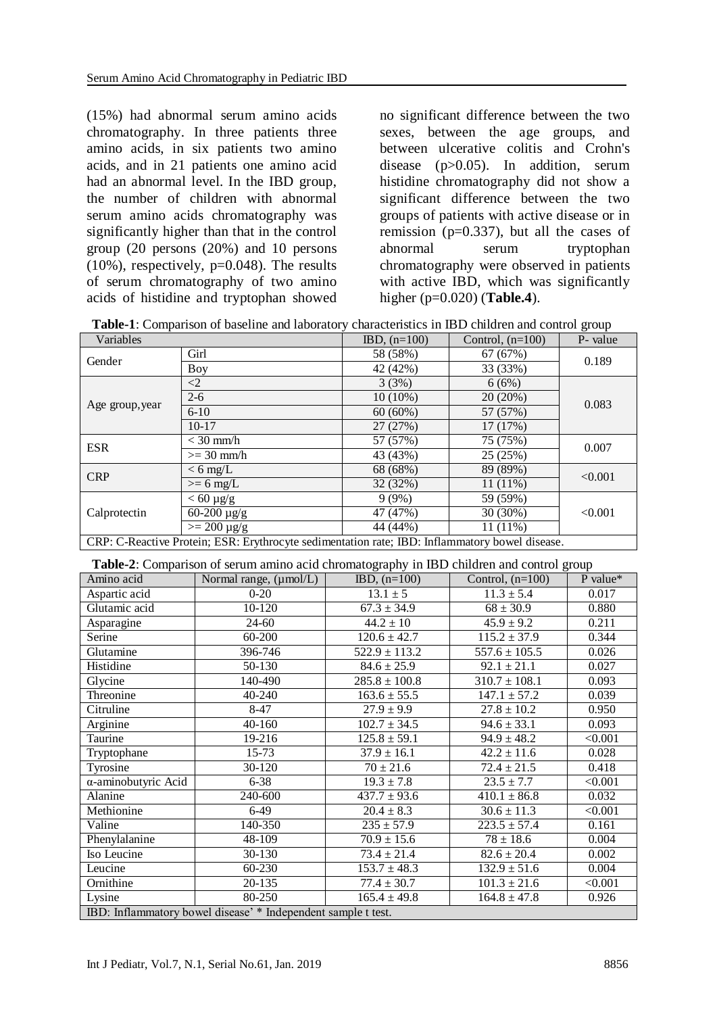(15%) had abnormal serum amino acids chromatography. In three patients three amino acids, in six patients two amino acids, and in 21 patients one amino acid had an abnormal level. In the IBD group, the number of children with abnormal serum amino acids chromatography was significantly higher than that in the control group (20 persons (20%) and 10 persons  $(10\%)$ , respectively, p=0.048). The results of serum chromatography of two amino acids of histidine and tryptophan showed no significant difference between the two sexes, between the age groups, and between ulcerative colitis and Crohn's disease (p>0.05). In addition, serum histidine chromatography did not show a significant difference between the two groups of patients with active disease or in remission (p=0.337), but all the cases of abnormal serum tryptophan chromatography were observed in patients with active IBD, which was significantly higher (p=0.020) (**Table.4**).

|  | Table-1: Comparison of baseline and laboratory characteristics in IBD children and control group |
|--|--------------------------------------------------------------------------------------------------|
|--|--------------------------------------------------------------------------------------------------|

| Variables                                                                                      |                       | $IBD, (n=100)$         | Control, $(n=100)$ | P- value |  |
|------------------------------------------------------------------------------------------------|-----------------------|------------------------|--------------------|----------|--|
| Gender                                                                                         | Girl                  | 58 (58%)               | 67 (67%)           | 0.189    |  |
|                                                                                                | Boy                   | 42 (42%)               | 33 (33%)           |          |  |
| Age group, year                                                                                | $\leq$ 2              | 3(3%)                  | 6(6%)              |          |  |
|                                                                                                | $2 - 6$               | $10(10\%)$             | 20(20%)            | 0.083    |  |
|                                                                                                | $6 - 10$              | $60(60\%)$             | 57 (57%)           |          |  |
|                                                                                                | $10-17$               | 27 (27%)               | 17 (17%)           |          |  |
| <b>ESR</b>                                                                                     | $<$ 30 mm/h           | 57 (57%)               | 75 (75%)           | 0.007    |  |
|                                                                                                | $>=$ 30 mm/h          | 43 (43%)<br>25 (25%)   |                    |          |  |
| <b>CRP</b>                                                                                     | $< 6$ mg/L            | 68 (68%)               | 89 (89%)           | < 0.001  |  |
|                                                                                                | $>= 6$ mg/L           | $11(11\%)$<br>32 (32%) |                    |          |  |
| Calprotectin                                                                                   | $< 60 \mu g/g$        | 9(9%)                  | 59 (59%)           |          |  |
|                                                                                                | $60 - 200 \mu g/g$    | 47 (47%)               | 30 (30%)           | < 0.001  |  |
|                                                                                                | $>= 200 \text{ µg/g}$ | 44 (44%)               | 11 (11%)           |          |  |
| CRP: C-Reactive Protein; ESR: Erythrocyte sedimentation rate; IBD: Inflammatory bowel disease. |                       |                        |                    |          |  |

**Table-2**: Comparison of serum amino acid chromatography in IBD children and control group

| Amino acid                                                    | <b>Two <math>\bullet</math></b> . Comparison of servin annito actu emomatography in IDD emitten and control group<br>Normal range, (µmol/L) | $IBD, (n=100)$    | Control, $(n=100)$ | P value* |  |
|---------------------------------------------------------------|---------------------------------------------------------------------------------------------------------------------------------------------|-------------------|--------------------|----------|--|
| Aspartic acid                                                 | $0 - 20$                                                                                                                                    | $13.1 \pm 5$      | $11.3 \pm 5.4$     | 0.017    |  |
| Glutamic acid                                                 | 10-120                                                                                                                                      | $67.3 \pm 34.9$   | $68 \pm 30.9$      | 0.880    |  |
| Asparagine                                                    | 24-60                                                                                                                                       | $44.2 \pm 10$     | $45.9 \pm 9.2$     | 0.211    |  |
| Serine                                                        | 60-200                                                                                                                                      | $120.6 \pm 42.7$  | $115.2 \pm 37.9$   | 0.344    |  |
| Glutamine                                                     | 396-746                                                                                                                                     | $522.9 \pm 113.2$ | $557.6 \pm 105.5$  | 0.026    |  |
| Histidine                                                     | 50-130                                                                                                                                      | $84.6 \pm 25.9$   | $92.1 \pm 21.1$    | 0.027    |  |
| Glycine                                                       | 140-490                                                                                                                                     | $285.8 \pm 100.8$ | $310.7 \pm 108.1$  | 0.093    |  |
| Threonine                                                     | 40-240                                                                                                                                      | $163.6 \pm 55.5$  | $147.1 \pm 57.2$   | 0.039    |  |
| Citruline                                                     | 8-47                                                                                                                                        | $27.9 \pm 9.9$    | $27.8 \pm 10.2$    | 0.950    |  |
| Arginine                                                      | 40-160                                                                                                                                      | $102.7 \pm 34.5$  | $94.6 \pm 33.1$    | 0.093    |  |
| Taurine                                                       | 19-216                                                                                                                                      | $125.8 \pm 59.1$  | $94.9 \pm 48.2$    | < 0.001  |  |
| Tryptophane                                                   | $15 - 73$                                                                                                                                   | $37.9 \pm 16.1$   | $42.2 \pm 11.6$    | 0.028    |  |
| Tyrosine                                                      | 30-120                                                                                                                                      | $70 \pm 21.6$     | $72.4 \pm 21.5$    | 0.418    |  |
| α-aminobutyric Acid                                           | $6 - 38$                                                                                                                                    | $19.3 \pm 7.8$    | $23.5 \pm 7.7$     | < 0.001  |  |
| Alanine                                                       | 240-600                                                                                                                                     | $437.7 \pm 93.6$  | $410.1 \pm 86.8$   | 0.032    |  |
| Methionine                                                    | $6-49$                                                                                                                                      | $20.4 \pm 8.3$    | $30.6 \pm 11.3$    | < 0.001  |  |
| Valine                                                        | 140-350                                                                                                                                     | $235 \pm 57.9$    | $223.5 \pm 57.4$   | 0.161    |  |
| Phenylalanine                                                 | 48-109                                                                                                                                      | $70.9 \pm 15.6$   | $78 \pm 18.6$      | 0.004    |  |
| Iso Leucine                                                   | 30-130                                                                                                                                      | $73.4 \pm 21.4$   | $82.6 \pm 20.4$    | 0.002    |  |
| Leucine                                                       | 60-230                                                                                                                                      | $153.7 \pm 48.3$  | $132.9 \pm 51.6$   | 0.004    |  |
| Ornithine                                                     | 20-135                                                                                                                                      | $77.4 \pm 30.7$   | $101.3 \pm 21.6$   | < 0.001  |  |
| Lysine                                                        | 80-250                                                                                                                                      | $165.4 \pm 49.8$  | $164.8 \pm 47.8$   | 0.926    |  |
| IBD: Inflammatory bowel disease' * Independent sample t test. |                                                                                                                                             |                   |                    |          |  |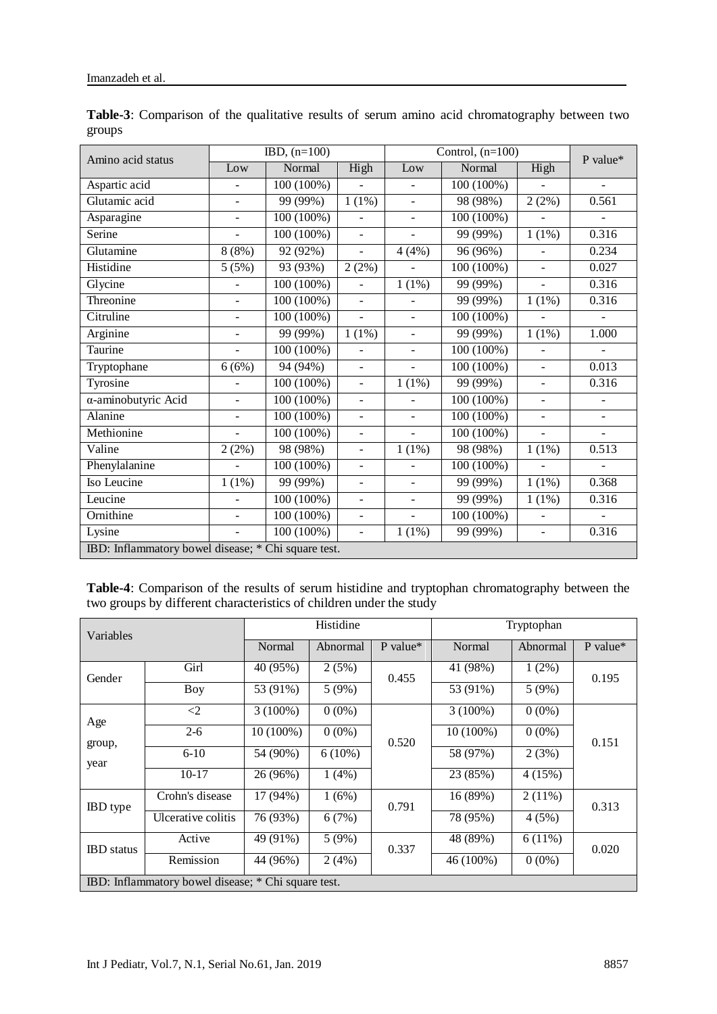| Amino acid status                                   | $IBD, (n=100)$           |              | Control, $(n=100)$       |                          |              | P value*                 |                          |  |
|-----------------------------------------------------|--------------------------|--------------|--------------------------|--------------------------|--------------|--------------------------|--------------------------|--|
|                                                     | Low                      | Normal       | High                     | Low                      | Normal       | High                     |                          |  |
| Aspartic acid                                       | $\blacksquare$           | 100 (100%)   |                          | $\blacksquare$           | 100 (100%)   |                          | $\blacksquare$           |  |
| Glutamic acid                                       | $\blacksquare$           | 99 (99%)     | $1(1\%)$                 | $\blacksquare$           | 98 (98%)     | 2(2%)                    | 0.561                    |  |
| Asparagine                                          | $\overline{\phantom{a}}$ | 100 (100%)   |                          | $\blacksquare$           | 100 (100%)   |                          |                          |  |
| Serine                                              | $\overline{\phantom{a}}$ | 100 (100%)   | $\overline{\phantom{a}}$ | $\overline{\phantom{a}}$ | 99 (99%)     | $1(1\%)$                 | 0.316                    |  |
| Glutamine                                           | 8(8%)                    | 92 (92%)     | $\overline{\phantom{0}}$ | 4(4%)                    | 96 (96%)     | $\overline{\phantom{a}}$ | 0.234                    |  |
| Histidine                                           | 5(5%)                    | 93 (93%)     | 2(2%)                    | $\blacksquare$           | 100 (100%)   | $\overline{\phantom{a}}$ | 0.027                    |  |
| Glycine                                             | ÷,                       | 100 (100%)   | $\overline{\phantom{0}}$ | 1(1%)                    | 99 (99%)     | $\frac{1}{2}$            | 0.316                    |  |
| Threonine                                           | $\blacksquare$           | 100 (100%)   | $\blacksquare$           | $\blacksquare$           | 99 (99%)     | 1(1%)                    | 0.316                    |  |
| Citruline                                           | $\blacksquare$           | $100(100\%)$ | $\overline{\phantom{0}}$ | $\blacksquare$           | $100(100\%)$ | $\overline{a}$           | $\blacksquare$           |  |
| Arginine                                            | $\overline{\phantom{a}}$ | 99 (99%)     | 1(1%)                    | $\overline{\phantom{a}}$ | 99 (99%)     | 1(1%)                    | 1.000                    |  |
| Taurine                                             | $\blacksquare$           | 100 (100%)   | $\overline{\phantom{0}}$ | $\blacksquare$           | 100 (100%)   | $\overline{\phantom{a}}$ | $\blacksquare$           |  |
| Tryptophane                                         | 6(6%)                    | 94 (94%)     | $\overline{\phantom{a}}$ | $\blacksquare$           | 100 (100%)   | $\overline{\phantom{a}}$ | 0.013                    |  |
| Tyrosine                                            | $\overline{\phantom{a}}$ | 100 (100%)   | ÷,                       | 1(1%)                    | 99 (99%)     | $\overline{\phantom{a}}$ | 0.316                    |  |
| α-aminobutyric Acid                                 | $\blacksquare$           | 100 (100%)   | $\overline{\phantom{0}}$ | $\blacksquare$           | 100 (100%)   | $\overline{\phantom{a}}$ | -                        |  |
| Alanine                                             | $\overline{\phantom{a}}$ | $100(100\%)$ | ÷,                       | $\omega$                 | $100(100\%)$ | $\Box$                   | $\blacksquare$           |  |
| Methionine                                          | $\equiv$                 | 100 (100%)   | $\blacksquare$           | $\mathbf{r}$             | 100 (100%)   | $\blacksquare$           | $\overline{\phantom{a}}$ |  |
| Valine                                              | 2(2%)                    | 98 (98%)     | $\overline{a}$           | 1(1%)                    | 98 (98%)     | 1(1%)                    | 0.513                    |  |
| Phenylalanine                                       | $\overline{a}$           | 100 (100%)   | $\equiv$                 | $\omega$                 | 100 (100%)   | $\overline{a}$           | $\overline{\phantom{a}}$ |  |
| Iso Leucine                                         | 1(1%)                    | 99 (99%)     | $\overline{\phantom{0}}$ | $\blacksquare$           | 99 (99%)     | 1(1%)                    | 0.368                    |  |
| Leucine                                             |                          | 100 (100%)   | $\overline{\phantom{0}}$ | $\omega$                 | 99 (99%)     | 1(1%)                    | 0.316                    |  |
| Ornithine                                           | $\equiv$                 | 100 (100%)   | $\blacksquare$           | $\blacksquare$           | 100 (100%)   | $\blacksquare$           | ä,                       |  |
| Lysine                                              | $\blacksquare$           | 100 (100%)   | $\overline{\phantom{0}}$ | 1(1%)                    | 99 (99%)     | $\overline{\phantom{a}}$ | 0.316                    |  |
| IBD: Inflammatory bowel disease; * Chi square test. |                          |              |                          |                          |              |                          |                          |  |

**Table-3**: Comparison of the qualitative results of serum amino acid chromatography between two groups

**Table-4**: Comparison of the results of serum histidine and tryptophan chromatography between the two groups by different characteristics of children under the study

| Variables                                           |                                   | Histidine |           |            | Tryptophan  |           |            |
|-----------------------------------------------------|-----------------------------------|-----------|-----------|------------|-------------|-----------|------------|
|                                                     |                                   | Normal    | Abnormal  | P value*   | Normal      | Abnormal  | $P$ value* |
| Gender                                              | Girl                              | 40 (95%)  | 2(5%)     | 0.455      | 41 (98%)    | $1(2\%)$  | 0.195      |
|                                                     | Boy                               | 53 (91%)  | 5(9%)     |            | 53 (91%)    | 5(9%)     |            |
| Age                                                 | $3(100\%)$<br>$\langle 2 \rangle$ | $0(0\%)$  |           | $3(100\%)$ | $0(0\%)$    |           |            |
| group,<br>year                                      | $2 - 6$                           | 10 (100%) | $0(0\%)$  | 0.520      | $10(100\%)$ | $0(0\%)$  | 0.151      |
|                                                     | $6 - 10$                          | 54 (90%)  | $6(10\%)$ |            | 58 (97%)    | 2(3%)     |            |
|                                                     | $10-17$                           | 26 (96%)  | 1(4%)     |            | 23 (85%)    | 4(15%)    |            |
| <b>IBD</b> type                                     | Crohn's disease                   | 17 (94%)  | 1(6%)     | 0.791      | 16(89%)     | $2(11\%)$ | 0.313      |
|                                                     | Ulcerative colitis                | 76 (93%)  | 6(7%)     |            | 78 (95%)    | 4(5%)     |            |
| <b>IBD</b> status                                   | Active                            | 49 (91%)  | 5(9%)     | 0.337      | 48 (89%)    | $6(11\%)$ | 0.020      |
|                                                     | Remission                         | 44 (96%)  | 2(4%)     |            | 46 (100%)   | $0(0\%)$  |            |
| IBD: Inflammatory bowel disease; * Chi square test. |                                   |           |           |            |             |           |            |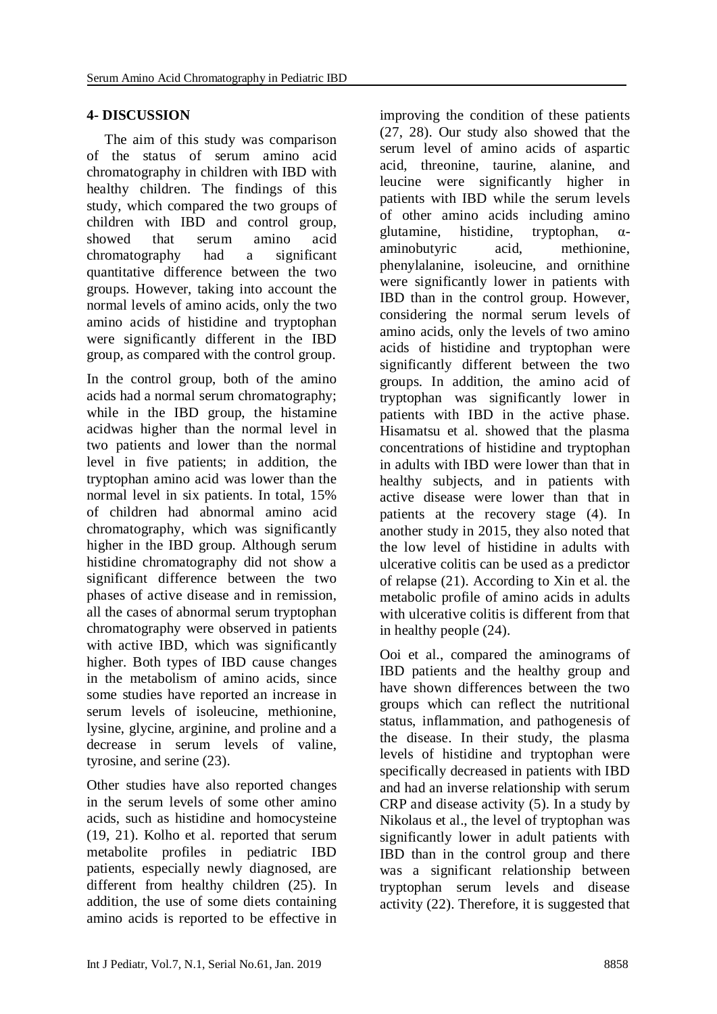# **4- DISCUSSION**

 The aim of this study was comparison of the status of serum amino acid chromatography in children with IBD with healthy children. The findings of this study, which compared the two groups of children with IBD and control group, showed that serum amino acid chromatography had a significant quantitative difference between the two groups. However, taking into account the normal levels of amino acids, only the two amino acids of histidine and tryptophan were significantly different in the IBD group, as compared with the control group.

In the control group, both of the amino acids had a normal serum chromatography; while in the IBD group, the histamine acidwas higher than the normal level in two patients and lower than the normal level in five patients; in addition, the tryptophan amino acid was lower than the normal level in six patients. In total, 15% of children had abnormal amino acid chromatography, which was significantly higher in the IBD group. Although serum histidine chromatography did not show a significant difference between the two phases of active disease and in remission, all the cases of abnormal serum tryptophan chromatography were observed in patients with active IBD, which was significantly higher. Both types of IBD cause changes in the metabolism of amino acids, since some studies have reported an increase in serum levels of isoleucine, methionine, lysine, glycine, arginine, and proline and a decrease in serum levels of valine, tyrosine, and serine (23).

Other studies have also reported changes in the serum levels of some other amino acids, such as histidine and homocysteine (19, 21). Kolho et al. reported that serum metabolite profiles in pediatric IBD patients, especially newly diagnosed, are different from healthy children (25). In addition, the use of some diets containing amino acids is reported to be effective in

improving the condition of these patients (27, 28). Our study also showed that the serum level of amino acids of aspartic acid, threonine, taurine, alanine, and leucine were significantly higher in patients with IBD while the serum levels of other amino acids including amino glutamine, histidine, tryptophan, αaminobutyric acid, methionine, phenylalanine, isoleucine, and ornithine were significantly lower in patients with IBD than in the control group. However, considering the normal serum levels of amino acids, only the levels of two amino acids of histidine and tryptophan were significantly different between the two groups. In addition, the amino acid of tryptophan was significantly lower in patients with IBD in the active phase. Hisamatsu et al. showed that the plasma concentrations of histidine and tryptophan in adults with IBD were lower than that in healthy subjects, and in patients with active disease were lower than that in patients at the recovery stage (4). In another study in 2015, they also noted that the low level of histidine in adults with ulcerative colitis can be used as a predictor of relapse (21). According to Xin et al. the metabolic profile of amino acids in adults with ulcerative colitis is different from that in healthy people (24).

Ooi et al., compared the aminograms of IBD patients and the healthy group and have shown differences between the two groups which can reflect the nutritional status, inflammation, and pathogenesis of the disease. In their study, the plasma levels of histidine and tryptophan were specifically decreased in patients with IBD and had an inverse relationship with serum CRP and disease activity (5). In a study by Nikolaus et al., the level of tryptophan was significantly lower in adult patients with IBD than in the control group and there was a significant relationship between tryptophan serum levels and disease activity (22). Therefore, it is suggested that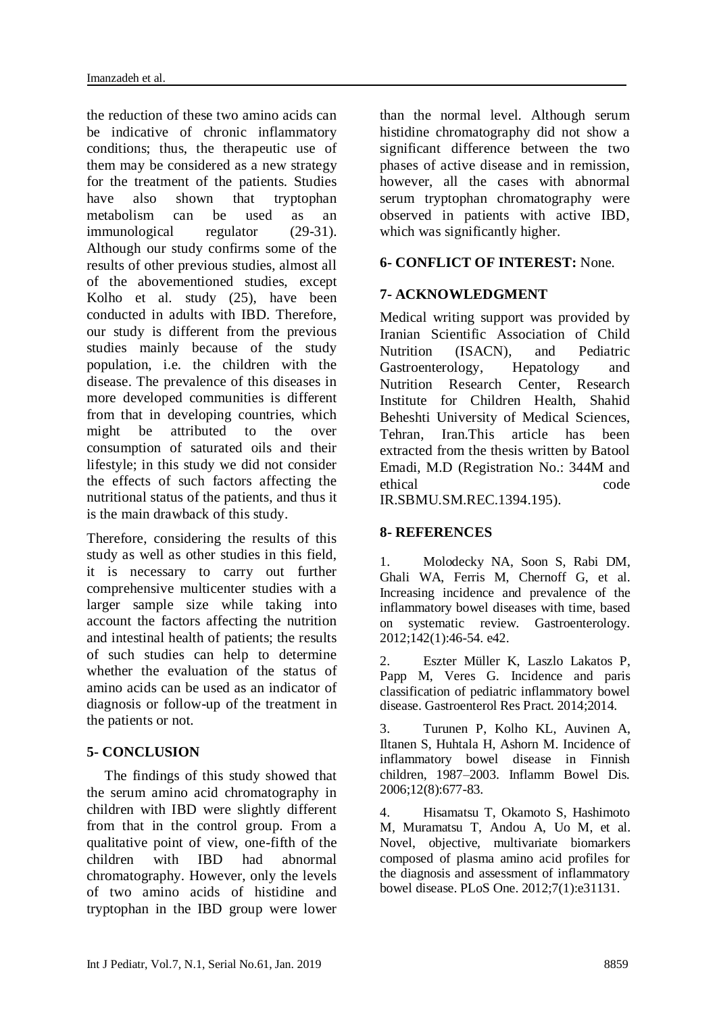the reduction of these two amino acids can be indicative of chronic inflammatory conditions; thus, the therapeutic use of them may be considered as a new strategy for the treatment of the patients. Studies have also shown that tryptophan metabolism can be used as an immunological regulator (29-31). Although our study confirms some of the results of other previous studies, almost all of the abovementioned studies, except Kolho et al. study (25), have been conducted in adults with IBD. Therefore, our study is different from the previous studies mainly because of the study population, i.e. the children with the disease. The prevalence of this diseases in more developed communities is different from that in developing countries, which might be attributed to the over consumption of saturated oils and their lifestyle; in this study we did not consider the effects of such factors affecting the nutritional status of the patients, and thus it is the main drawback of this study.

Therefore, considering the results of this study as well as other studies in this field, it is necessary to carry out further comprehensive multicenter studies with a larger sample size while taking into account the factors affecting the nutrition and intestinal health of patients; the results of such studies can help to determine whether the evaluation of the status of amino acids can be used as an indicator of diagnosis or follow-up of the treatment in the patients or not.

## **5- CONCLUSION**

 The findings of this study showed that the serum amino acid chromatography in children with IBD were slightly different from that in the control group. From a qualitative point of view, one-fifth of the children with IBD had abnormal chromatography. However, only the levels of two amino acids of histidine and tryptophan in the IBD group were lower

than the normal level. Although serum histidine chromatography did not show a significant difference between the two phases of active disease and in remission, however, all the cases with abnormal serum tryptophan chromatography were observed in patients with active IBD, which was significantly higher.

## **6- CONFLICT OF INTEREST:** None.

## **7- ACKNOWLEDGMENT**

Medical writing support was provided by Iranian Scientific Association of Child Nutrition (ISACN), and Pediatric Gastroenterology, Hepatology and Nutrition Research Center, Research Institute for Children Health, Shahid Beheshti University of Medical Sciences, Tehran, Iran.This article has been extracted from the thesis written by Batool Emadi, M.D (Registration No.: 344M and ethical code

IR.SBMU.SM.REC.1394.195).

## **8- REFERENCES**

1. Molodecky NA, Soon S, Rabi DM, Ghali WA, Ferris M, Chernoff G, et al. Increasing incidence and prevalence of the inflammatory bowel diseases with time, based on systematic review. Gastroenterology. 2012;142(1):46-54. e42.

2. Eszter Müller K, Laszlo Lakatos P, Papp M, Veres G. Incidence and paris classification of pediatric inflammatory bowel disease. Gastroenterol Res Pract. 2014;2014.

3. Turunen P, Kolho KL, Auvinen A, Iltanen S, Huhtala H, Ashorn M. Incidence of inflammatory bowel disease in Finnish children, 1987–2003. Inflamm Bowel Dis. 2006;12(8):677-83.

4. Hisamatsu T, Okamoto S, Hashimoto M, Muramatsu T, Andou A, Uo M, et al. Novel, objective, multivariate biomarkers composed of plasma amino acid profiles for the diagnosis and assessment of inflammatory bowel disease. PLoS One. 2012;7(1):e31131.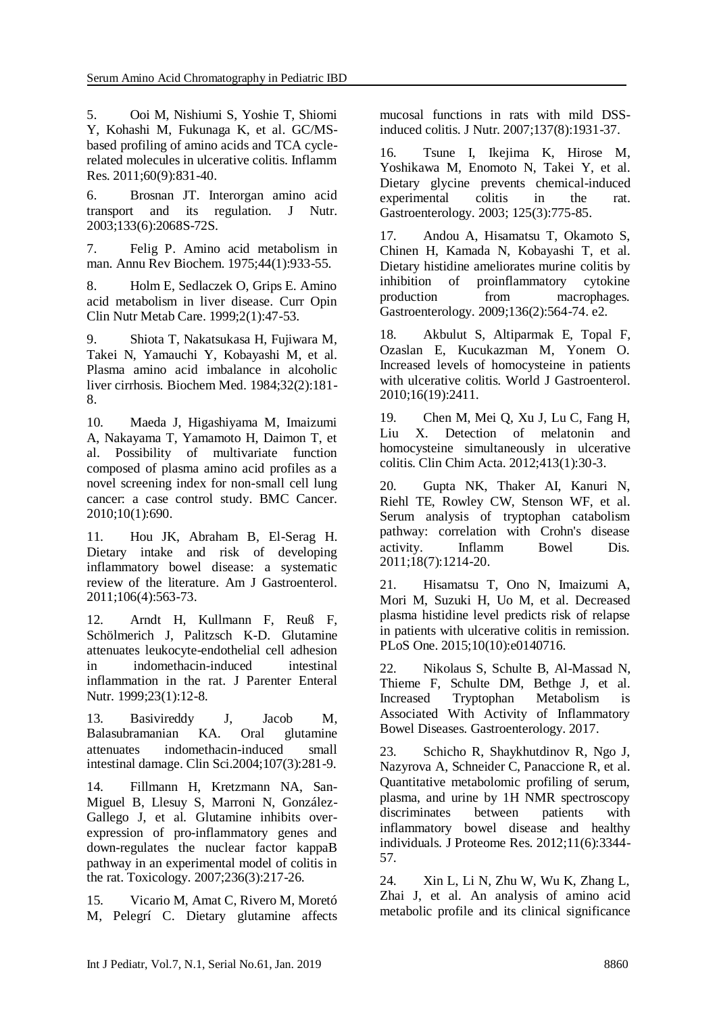5. Ooi M, Nishiumi S, Yoshie T, Shiomi Y, Kohashi M, Fukunaga K, et al. GC/MSbased profiling of amino acids and TCA cyclerelated molecules in ulcerative colitis. Inflamm Res. 2011;60(9):831-40.

6. Brosnan JT. Interorgan amino acid transport and its regulation. J Nutr. 2003;133(6):2068S-72S.

7. Felig P. Amino acid metabolism in man. Annu Rev Biochem. 1975;44(1):933-55.

8. Holm E, Sedlaczek O, Grips E. Amino acid metabolism in liver disease. Curr Opin Clin Nutr Metab Care. 1999;2(1):47-53.

9. Shiota T, Nakatsukasa H, Fujiwara M, Takei N, Yamauchi Y, Kobayashi M, et al. Plasma amino acid imbalance in alcoholic liver cirrhosis. Biochem Med. 1984;32(2):181- 8.

10. Maeda J, Higashiyama M, Imaizumi A, Nakayama T, Yamamoto H, Daimon T, et al. Possibility of multivariate function composed of plasma amino acid profiles as a novel screening index for non-small cell lung cancer: a case control study. BMC Cancer. 2010;10(1):690.

11. Hou JK, Abraham B, El-Serag H. Dietary intake and risk of developing inflammatory bowel disease: a systematic review of the literature. Am J Gastroenterol. 2011;106(4):563-73.

12. Arndt H, Kullmann F, Reuß F, Schölmerich J, Palitzsch K-D. Glutamine attenuates leukocyte-endothelial cell adhesion in indomethacin-induced intestinal inflammation in the rat. J Parenter Enteral Nutr. 1999;23(1):12-8.

13. Basivireddy J, Jacob M, Balasubramanian KA. Oral glutamine attenuates indomethacin-induced small intestinal damage. Clin Sci.2004;107(3):281-9.

14. Fillmann H, Kretzmann NA, San-Miguel B, Llesuy S, Marroni N, González-Gallego J, et al. Glutamine inhibits overexpression of pro-inflammatory genes and down-regulates the nuclear factor kappaB pathway in an experimental model of colitis in the rat. Toxicology. 2007;236(3):217-26.

15. Vicario M, Amat C, Rivero M, Moretó M, Pelegrí C. Dietary glutamine affects mucosal functions in rats with mild DSSinduced colitis. J Nutr. 2007;137(8):1931-37.

16. Tsune I, Ikejima K, Hirose M, Yoshikawa M, Enomoto N, Takei Y, et al. Dietary glycine prevents chemical-induced experimental colitis in the rat. Gastroenterology. 2003; 125(3):775-85.

17. Andou A, Hisamatsu T, Okamoto S, Chinen H, Kamada N, Kobayashi T, et al. Dietary histidine ameliorates murine colitis by inhibition of proinflammatory cytokine production from macrophages. Gastroenterology. 2009;136(2):564-74. e2.

18. Akbulut S, Altiparmak E, Topal F, Ozaslan E, Kucukazman M, Yonem O. Increased levels of homocysteine in patients with ulcerative colitis. World J Gastroenterol. 2010;16(19):2411.

19. Chen M, Mei Q, Xu J, Lu C, Fang H, Liu X. Detection of melatonin and homocysteine simultaneously in ulcerative colitis. Clin Chim Acta. 2012;413(1):30-3.

20. Gupta NK, Thaker AI, Kanuri N, Riehl TE, Rowley CW, Stenson WF, et al. Serum analysis of tryptophan catabolism pathway: correlation with Crohn's disease activity. Inflamm Bowel Dis. 2011;18(7):1214-20.

21. Hisamatsu T, Ono N, Imaizumi A, Mori M, Suzuki H, Uo M, et al. Decreased plasma histidine level predicts risk of relapse in patients with ulcerative colitis in remission. PLoS One. 2015;10(10):e0140716.

22. Nikolaus S, Schulte B, Al-Massad N, Thieme F, Schulte DM, Bethge J, et al. Increased Tryptophan Metabolism is Associated With Activity of Inflammatory Bowel Diseases. Gastroenterology. 2017.

23. Schicho R, Shaykhutdinov R, Ngo J, Nazyrova A, Schneider C, Panaccione R, et al. Quantitative metabolomic profiling of serum, plasma, and urine by 1H NMR spectroscopy discriminates between patients with inflammatory bowel disease and healthy individuals. J Proteome Res. 2012;11(6):3344- 57.

24. Xin L, Li N, Zhu W, Wu K, Zhang L, Zhai J, et al. An analysis of amino acid metabolic profile and its clinical significance